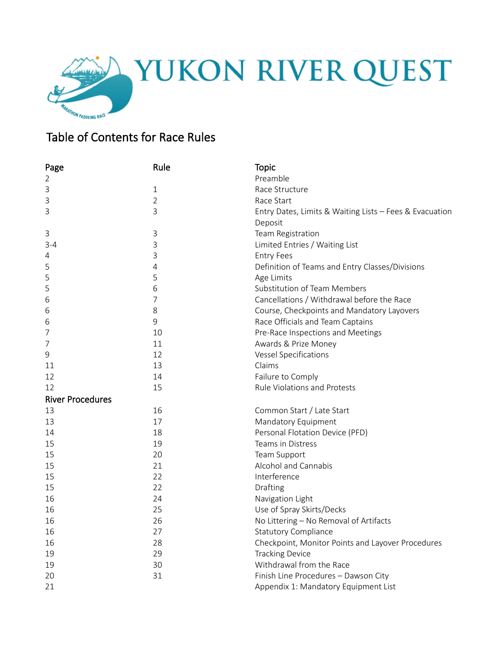

## Table of Contents for Race Rules

| Page                    | Rule         | <b>Topic</b>                                            |  |  |
|-------------------------|--------------|---------------------------------------------------------|--|--|
| 2                       |              | Preamble                                                |  |  |
| 3                       | $\mathbf{1}$ | Race Structure                                          |  |  |
| 3                       | 2            | Race Start                                              |  |  |
| 3                       | 3            | Entry Dates, Limits & Waiting Lists - Fees & Evacuation |  |  |
|                         |              | Deposit                                                 |  |  |
| 3                       | 3            | Team Registration                                       |  |  |
| $3 - 4$                 | 3            | Limited Entries / Waiting List                          |  |  |
| 4                       | 3            | <b>Entry Fees</b>                                       |  |  |
| 5                       | 4            | Definition of Teams and Entry Classes/Divisions         |  |  |
| 5                       | 5            | Age Limits                                              |  |  |
| 5                       | 6            | <b>Substitution of Team Members</b>                     |  |  |
| 6                       | 7            | Cancellations / Withdrawal before the Race              |  |  |
| 6                       | 8            | Course, Checkpoints and Mandatory Layovers              |  |  |
| 6                       | $\mathsf 9$  | Race Officials and Team Captains                        |  |  |
| 7                       | 10           | Pre-Race Inspections and Meetings                       |  |  |
| 7                       | 11           | Awards & Prize Money                                    |  |  |
| 9                       | 12           | Vessel Specifications                                   |  |  |
| 11                      | 13           | Claims                                                  |  |  |
| 12                      | 14           | Failure to Comply                                       |  |  |
| 12                      | 15           | <b>Rule Violations and Protests</b>                     |  |  |
| <b>River Procedures</b> |              |                                                         |  |  |
| 13                      | 16           | Common Start / Late Start                               |  |  |
| 13                      | 17           | Mandatory Equipment                                     |  |  |
| 14                      | 18           | Personal Flotation Device (PFD)                         |  |  |
| 15                      | 19           | Teams in Distress                                       |  |  |
| 15                      | 20           | Team Support                                            |  |  |
| 15                      | 21           | Alcohol and Cannabis                                    |  |  |
| 15                      | 22           | Interference                                            |  |  |
| 15                      | 22           | Drafting                                                |  |  |
| 16                      | 24           | Navigation Light                                        |  |  |
| 16                      | 25           | Use of Spray Skirts/Decks                               |  |  |
| 16                      | 26           | No Littering - No Removal of Artifacts                  |  |  |
| 16                      | 27           | <b>Statutory Compliance</b>                             |  |  |
| 16                      | 28           | Checkpoint, Monitor Points and Layover Procedures       |  |  |
| 19                      | 29           | <b>Tracking Device</b>                                  |  |  |
| 19                      | 30           | Withdrawal from the Race                                |  |  |
| 20                      | 31           | Finish Line Procedures - Dawson City                    |  |  |
| 21                      |              | Appendix 1: Mandatory Equipment List                    |  |  |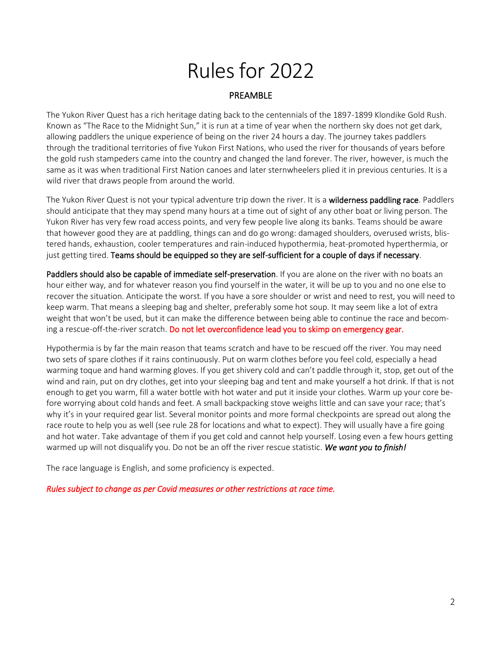# Rules for 2022

## PREAMBLE

The Yukon River Quest has a rich heritage dating back to the centennials of the 1897-1899 Klondike Gold Rush. Known as "The Race to the Midnight Sun," it is run at a time of year when the northern sky does not get dark, allowing paddlers the unique experience of being on the river 24 hours a day. The journey takes paddlers through the traditional territories of five Yukon First Nations, who used the river for thousands of years before the gold rush stampeders came into the country and changed the land forever. The river, however, is much the same as it was when traditional First Nation canoes and later sternwheelers plied it in previous centuries. It is a wild river that draws people from around the world.

The Yukon River Quest is not your typical adventure trip down the river. It is a wilderness paddling race. Paddlers should anticipate that they may spend many hours at a time out of sight of any other boat or living person. The Yukon River has very few road access points, and very few people live along its banks. Teams should be aware that however good they are at paddling, things can and do go wrong: damaged shoulders, overused wrists, blistered hands, exhaustion, cooler temperatures and rain-induced hypothermia, heat-promoted hyperthermia, or just getting tired. Teams should be equipped so they are self-sufficient for a couple of days if necessary.

Paddlers should also be capable of immediate self-preservation. If you are alone on the river with no boats an hour either way, and for whatever reason you find yourself in the water, it will be up to you and no one else to recover the situation. Anticipate the worst. If you have a sore shoulder or wrist and need to rest, you will need to keep warm. That means a sleeping bag and shelter, preferably some hot soup. It may seem like a lot of extra weight that won't be used, but it can make the difference between being able to continue the race and becoming a rescue-off-the-river scratch. Do not let overconfidence lead you to skimp on emergency gear.

Hypothermia is by far the main reason that teams scratch and have to be rescued off the river. You may need two sets of spare clothes if it rains continuously. Put on warm clothes before you feel cold, especially a head warming toque and hand warming gloves. If you get shivery cold and can't paddle through it, stop, get out of the wind and rain, put on dry clothes, get into your sleeping bag and tent and make yourself a hot drink. If that is not enough to get you warm, fill a water bottle with hot water and put it inside your clothes. Warm up your core before worrying about cold hands and feet. A small backpacking stove weighs little and can save your race; that's why it's in your required gear list. Several monitor points and more formal checkpoints are spread out along the race route to help you as well (see rule 28 for locations and what to expect). They will usually have a fire going and hot water. Take advantage of them if you get cold and cannot help yourself. Losing even a few hours getting warmed up will not disqualify you. Do not be an off the river rescue statistic. *We want you to finish!*

The race language is English, and some proficiency is expected.

#### *Rules subject to change as per Covid measures or other restrictions at race time.*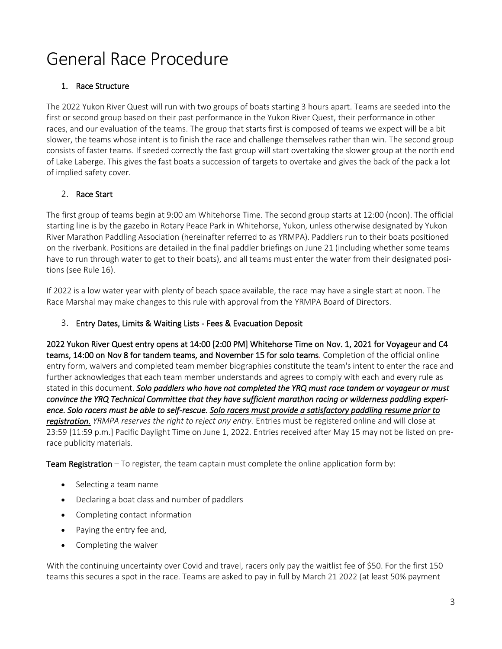## General Race Procedure

## 1. Race Structure

The 2022 Yukon River Quest will run with two groups of boats starting 3 hours apart. Teams are seeded into the first or second group based on their past performance in the Yukon River Quest, their performance in other races, and our evaluation of the teams. The group that starts first is composed of teams we expect will be a bit slower, the teams whose intent is to finish the race and challenge themselves rather than win. The second group consists of faster teams. If seeded correctly the fast group will start overtaking the slower group at the north end of Lake Laberge. This gives the fast boats a succession of targets to overtake and gives the back of the pack a lot of implied safety cover.

## 2. Race Start

The first group of teams begin at 9:00 am Whitehorse Time. The second group starts at 12:00 (noon). The official starting line is by the gazebo in Rotary Peace Park in Whitehorse, Yukon, unless otherwise designated by Yukon River Marathon Paddling Association (hereinafter referred to as YRMPA). Paddlers run to their boats positioned on the riverbank. Positions are detailed in the final paddler briefings on June 21 (including whether some teams have to run through water to get to their boats), and all teams must enter the water from their designated positions (see Rule 16).

If 2022 is a low water year with plenty of beach space available, the race may have a single start at noon. The Race Marshal may make changes to this rule with approval from the YRMPA Board of Directors.

## 3. Entry Dates, Limits & Waiting Lists - Fees & Evacuation Deposit

2022 Yukon River Quest entry opens at 14:00 [2:00 PM] Whitehorse Time on Nov. 1, 2021 for Voyageur and C4 teams, 14:00 on Nov 8 for tandem teams, and November 15 for solo teams. Completion of the official online entry form, waivers and completed team member biographies constitute the team's intent to enter the race and further acknowledges that each team member understands and agrees to comply with each and every rule as stated in this document. *Solo paddlers who have not completed the YRQ must race tandem or voyageur or must convince the YRQ Technical Committee that they have sufficient marathon racing or wilderness paddling experience. Solo racers must be able to self-rescue. Solo racers must provide a satisfactory paddling resume prior to registration. YRMPA reserves the right to reject any entry.* Entries must be registered online and will close at 23:59 [11:59 p.m.] Pacific Daylight Time on June 1, 2022. Entries received after May 15 may not be listed on prerace publicity materials.

**Team Registration** – To register, the team captain must complete the online application form by:

- Selecting a team name
- Declaring a boat class and number of paddlers
- Completing contact information
- Paying the entry fee and,
- Completing the waiver

With the continuing uncertainty over Covid and travel, racers only pay the waitlist fee of \$50. For the first 150 teams this secures a spot in the race. Teams are asked to pay in full by March 21 2022 (at least 50% payment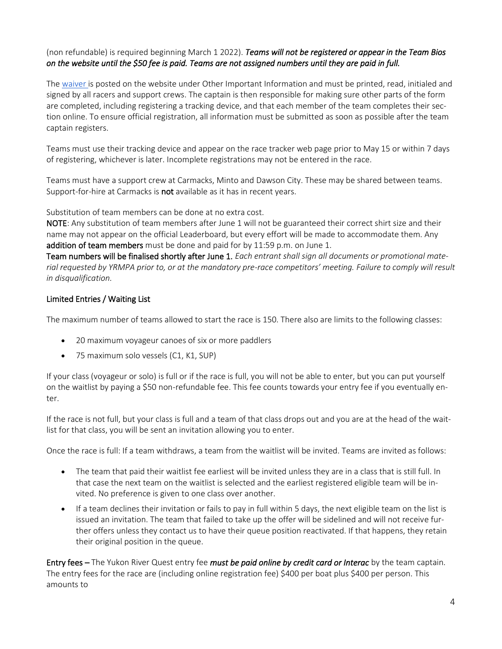## (non refundable) is required beginning March 1 2022). *Teams will not be registered or appear in the Team Bios on the website until the \$50 fee is paid. Teams are not assigned numbers until they are paid in full.*

Th[e waiver is](https://www.yukonriverquest.com/information-for-racers-support-crews-3/) posted on the website under Other Important Information and must be printed, read, initialed and signed by all racers and support crews. The captain is then responsible for making sure other parts of the form are completed, including registering a tracking device, and that each member of the team completes their section online. To ensure official registration, all information must be submitted as soon as possible after the team captain registers.

Teams must use their tracking device and appear on the race tracker web page prior to May 15 or within 7 days of registering, whichever is later. Incomplete registrations may not be entered in the race.

Teams must have a support crew at Carmacks, Minto and Dawson City. These may be shared between teams. Support-for-hire at Carmacks is not available as it has in recent years.

Substitution of team members can be done at no extra cost.

NOTE: Any substitution of team members after June 1 will not be guaranteed their correct shirt size and their name may not appear on the official Leaderboard, but every effort will be made to accommodate them. Any addition of team members must be done and paid for by 11:59 p.m. on June 1.

Team numbers will be finalised shortly after June 1. *Each entrant shall sign all documents or promotional material requested by YRMPA prior to, or at the mandatory pre-race competitors' meeting. Failure to comply will result in disqualification.*

## Limited Entries / Waiting List

The maximum number of teams allowed to start the race is 150. There also are limits to the following classes:

- 20 maximum voyageur canoes of six or more paddlers
- 75 maximum solo vessels (C1, K1, SUP)

If your class (voyageur or solo) is full or if the race is full, you will not be able to enter, but you can put yourself on the waitlist by paying a \$50 non-refundable fee. This fee counts towards your entry fee if you eventually enter.

If the race is not full, but your class is full and a team of that class drops out and you are at the head of the waitlist for that class, you will be sent an invitation allowing you to enter.

Once the race is full: If a team withdraws, a team from the waitlist will be invited. Teams are invited as follows:

- The team that paid their waitlist fee earliest will be invited unless they are in a class that is still full. In that case the next team on the waitlist is selected and the earliest registered eligible team will be invited. No preference is given to one class over another.
- If a team declines their invitation or fails to pay in full within 5 days, the next eligible team on the list is issued an invitation. The team that failed to take up the offer will be sidelined and will not receive further offers unless they contact us to have their queue position reactivated. If that happens, they retain their original position in the queue.

Entry fees – The Yukon River Quest entry fee *must be paid online by credit card or Interac* by the team captain. The entry fees for the race are (including online registration fee) \$400 per boat plus \$400 per person. This amounts to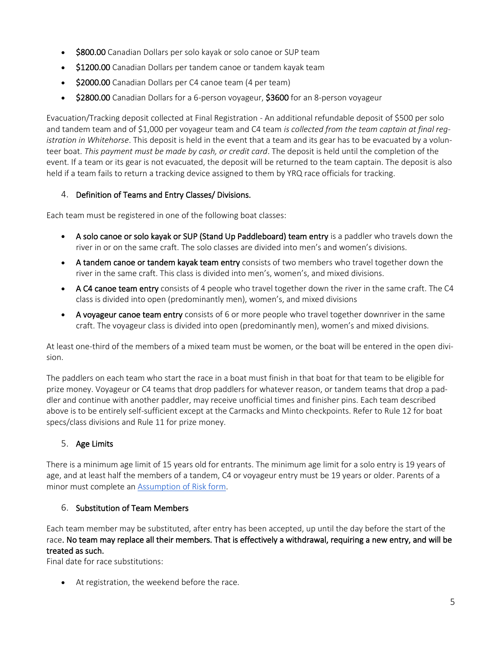- **\$800.00** Canadian Dollars per solo kayak or solo canoe or SUP team
- \$1200.00 Canadian Dollars per tandem canoe or tandem kayak team
- \$2000.00 Canadian Dollars per C4 canoe team (4 per team)
- \$2800.00 Canadian Dollars for a 6-person voyageur, \$3600 for an 8-person voyageur

Evacuation/Tracking deposit collected at Final Registration - An additional refundable deposit of \$500 per solo and tandem team and of \$1,000 per voyageur team and C4 team *is collected from the team captain at final registration in Whitehorse*. This deposit is held in the event that a team and its gear has to be evacuated by a volunteer boat. *This payment must be made by cash, or credit card*. The deposit is held until the completion of the event. If a team or its gear is not evacuated, the deposit will be returned to the team captain. The deposit is also held if a team fails to return a tracking device assigned to them by YRQ race officials for tracking.

## 4. Definition of Teams and Entry Classes/ Divisions.

Each team must be registered in one of the following boat classes:

- A solo canoe or solo kayak or SUP (Stand Up Paddleboard) team entry is a paddler who travels down the river in or on the same craft. The solo classes are divided into men's and women's divisions.
- A tandem canoe or tandem kayak team entry consists of two members who travel together down the river in the same craft. This class is divided into men's, women's, and mixed divisions.
- A C4 canoe team entry consists of 4 people who travel together down the river in the same craft. The C4 class is divided into open (predominantly men), women's, and mixed divisions
- A voyageur canoe team entry consists of 6 or more people who travel together downriver in the same craft. The voyageur class is divided into open (predominantly men), women's and mixed divisions.

At least one-third of the members of a mixed team must be women, or the boat will be entered in the open division.

The paddlers on each team who start the race in a boat must finish in that boat for that team to be eligible for prize money. Voyageur or C4 teams that drop paddlers for whatever reason, or tandem teams that drop a paddler and continue with another paddler, may receive unofficial times and finisher pins. Each team described above is to be entirely self-sufficient except at the Carmacks and Minto checkpoints. Refer to Rule 12 for boat specs/class divisions and Rule 11 for prize money.

## 5. Age Limits

There is a minimum age limit of 15 years old for entrants. The minimum age limit for a solo entry is 19 years of age, and at least half the members of a tandem, C4 or voyageur entry must be 19 years or older. Parents of a minor must complete an [Assumption of Risk form.](https://www.yukonriverquest.com/information-for-racers-support-crews-3/)

## 6. Substitution of Team Members

Each team member may be substituted, after entry has been accepted, up until the day before the start of the race. No team may replace all their members. That is effectively a withdrawal, requiring a new entry, and will be treated as such.

Final date for race substitutions:

• At registration, the weekend before the race.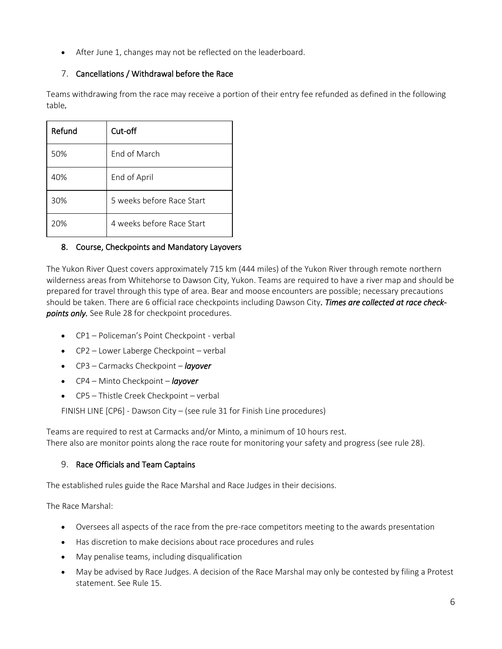• After June 1, changes may not be reflected on the leaderboard.

## 7. Cancellations / Withdrawal before the Race

Teams withdrawing from the race may receive a portion of their entry fee refunded as defined in the following table*.*

| Refund | Cut-off                   |
|--------|---------------------------|
| 50%    | <b>Fnd of March</b>       |
| 40%    | End of April              |
| 30%    | 5 weeks before Race Start |
| 20%    | 4 weeks before Race Start |

## 8. Course, Checkpoints and Mandatory Layovers

The Yukon River Quest covers approximately 715 km (444 miles) of the Yukon River through remote northern wilderness areas from Whitehorse to Dawson City, Yukon. Teams are required to have a river map and should be prepared for travel through this type of area. Bear and moose encounters are possible; necessary precautions should be taken. There are 6 official race checkpoints including Dawson City*. Times are collected at race checkpoints only.* See Rule 28 for checkpoint procedures.

- CP1 Policeman's Point Checkpoint verbal
- CP2 Lower Laberge Checkpoint verbal
- CP3 Carmacks Checkpoint *layover*
- CP4 Minto Checkpoint *layover*
- CP5 Thistle Creek Checkpoint verbal

FINISH LINE [CP6] - Dawson City – (see rule 31 for Finish Line procedures)

Teams are required to rest at Carmacks and/or Minto, a minimum of 10 hours rest. There also are monitor points along the race route for monitoring your safety and progress (see rule 28).

## 9. Race Officials and Team Captains

The established rules guide the Race Marshal and Race Judges in their decisions.

The Race Marshal:

- Oversees all aspects of the race from the pre-race competitors meeting to the awards presentation
- Has discretion to make decisions about race procedures and rules
- May penalise teams, including disqualification
- May be advised by Race Judges. A decision of the Race Marshal may only be contested by filing a Protest statement. See Rule 15.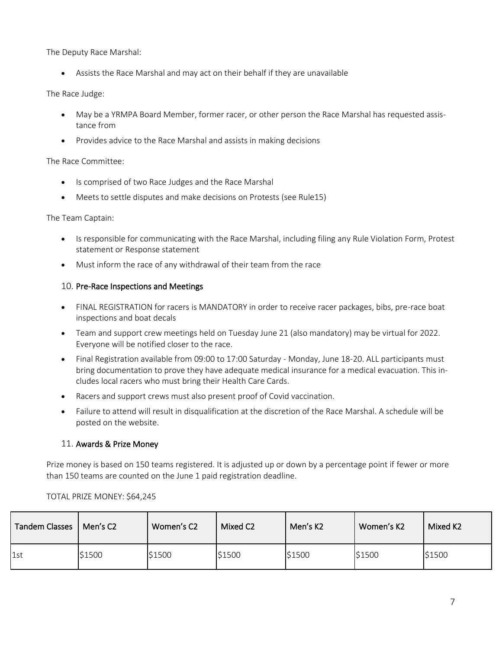The Deputy Race Marshal:

• Assists the Race Marshal and may act on their behalf if they are unavailable

#### The Race Judge:

- May be a YRMPA Board Member, former racer, or other person the Race Marshal has requested assistance from
- Provides advice to the Race Marshal and assists in making decisions

#### The Race Committee:

- Is comprised of two Race Judges and the Race Marshal
- Meets to settle disputes and make decisions on Protests (see Rule15)

#### The Team Captain:

- Is responsible for communicating with the Race Marshal, including filing any Rule Violation Form, Protest statement or Response statement
- Must inform the race of any withdrawal of their team from the race

#### 10. Pre-Race Inspections and Meetings

- FINAL REGISTRATION for racers is MANDATORY in order to receive racer packages, bibs, pre-race boat inspections and boat decals
- Team and support crew meetings held on Tuesday June 21 (also mandatory) may be virtual for 2022. Everyone will be notified closer to the race.
- Final Registration available from 09:00 to 17:00 Saturday Monday, June 18-20. ALL participants must bring documentation to prove they have adequate medical insurance for a medical evacuation. This includes local racers who must bring their Health Care Cards.
- Racers and support crews must also present proof of Covid vaccination.
- Failure to attend will result in disqualification at the discretion of the Race Marshal. A schedule will be posted on the website.

## 11. Awards & Prize Money

Prize money is based on 150 teams registered. It is adjusted up or down by a percentage point if fewer or more than 150 teams are counted on the June 1 paid registration deadline.

| <b>Tandem Classes</b> | Men's C2 | Women's C2 | Mixed C2 | Men's K2 | Women's K2 | Mixed K2 |
|-----------------------|----------|------------|----------|----------|------------|----------|
| 1st                   | \$1500   | \$1500     | \$1500   | \$1500   | \$1500     | \$1500   |

#### TOTAL PRIZE MONEY: \$64,245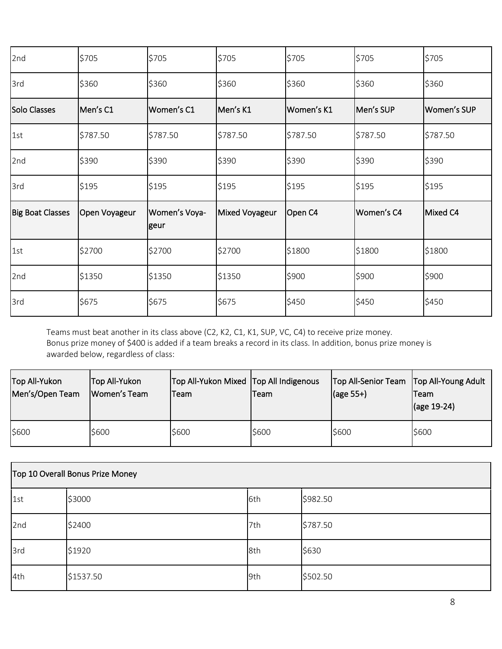| 2nd                     | \$705         | \$705                 | \$705          | \$705      | \$705      | \$705       |
|-------------------------|---------------|-----------------------|----------------|------------|------------|-------------|
| 3rd                     | \$360         | \$360                 | \$360          | \$360      | \$360      | \$360       |
| Solo Classes            | Men's C1      | Women's C1            | Men's K1       | Women's K1 | Men's SUP  | Women's SUP |
| 1st                     | \$787.50      | \$787.50              | \$787.50       | \$787.50   | \$787.50   | \$787.50    |
| 2nd                     | \$390         | \$390                 | \$390          | \$390      | \$390      | \$390       |
| 3rd                     | \$195         | \$195                 | \$195          | \$195      | \$195      | \$195       |
| <b>Big Boat Classes</b> | Open Voyageur | Women's Voya-<br>geur | Mixed Voyageur | Open C4    | Women's C4 | Mixed C4    |
| 1st                     | \$2700        | \$2700                | \$2700         | \$1800     | \$1800     | \$1800      |
| 2nd                     | \$1350        | \$1350                | \$1350         | \$900      | \$900      | \$900       |
| 3rd                     | \$675         | \$675                 | \$675          | \$450      | \$450      | \$450       |

Teams must beat another in its class above (C2, K2, C1, K1, SUP, VC, C4) to receive prize money. Bonus prize money of \$400 is added if a team breaks a record in its class. In addition, bonus prize money is awarded below, regardless of class:

| Top All-Yukon   | Top All-Yukon | Top All-Yukon Mixed Top All Indigenous | lTeam | Top All-Senior Team   Top All-Young Adult | lTeam               |
|-----------------|---------------|----------------------------------------|-------|-------------------------------------------|---------------------|
| Men's/Open Team | Women's Team  | Team                                   |       | $\vert$ (age 55+)                         | $\vert$ (age 19-24) |
| \$600           | \$600         | \$600                                  | \$600 | \$600                                     | \$600               |

| Top 10 Overall Bonus Prize Money |           |     |          |  |
|----------------------------------|-----------|-----|----------|--|
| 1st                              | \$3000    | 6th | \$982.50 |  |
| 2nd                              | \$2400    | 7th | \$787.50 |  |
| 3rd                              | \$1920    | 8th | \$630    |  |
| 4th                              | \$1537.50 | 9th | \$502.50 |  |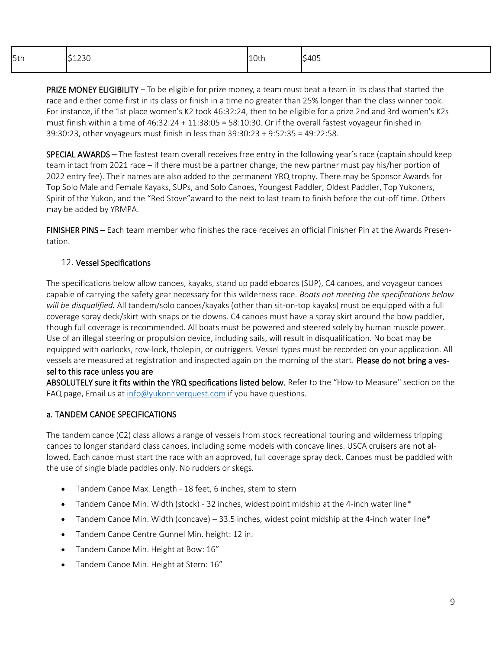| 5th | 1230 | 10th | \$405 |
|-----|------|------|-------|
|     |      |      |       |

PRIZE MONEY ELIGIBILITY – To be eligible for prize money, a team must beat a team in its class that started the race and either come first in its class or finish in a time no greater than 25% longer than the class winner took. For instance, if the 1st place women's K2 took 46:32:24, then to be eligible for a prize 2nd and 3rd women's K2s must finish within a time of 46:32:24 + 11:38:05 = 58:10:30. Or if the overall fastest voyageur finished in 39:30:23, other voyageurs must finish in less than 39:30:23 + 9:52:35 = 49:22:58.

SPECIAL AWARDS – The fastest team overall receives free entry in the following year's race (captain should keep team intact from 2021 race – if there must be a partner change, the new partner must pay his/her portion of 2022 entry fee). Their names are also added to the permanent YRQ trophy. There may be Sponsor Awards for Top Solo Male and Female Kayaks, SUPs, and Solo Canoes, Youngest Paddler, Oldest Paddler, Top Yukoners, Spirit of the Yukon, and the "Red Stove"award to the next to last team to finish before the cut-off time. Others may be added by YRMPA.

FINISHER PINS – Each team member who finishes the race receives an official Finisher Pin at the Awards Presentation.

## 12. Vessel Specifications

The specifications below allow canoes, kayaks, stand up paddleboards (SUP), C4 canoes, and voyageur canoes capable of carrying the safety gear necessary for this wilderness race. *Boats not meeting the specifications below will be disqualified.* All tandem/solo canoes/kayaks (other than sit-on-top kayaks) must be equipped with a full coverage spray deck/skirt with snaps or tie downs. C4 canoes must have a spray skirt around the bow paddler, though full coverage is recommended. All boats must be powered and steered solely by human muscle power. Use of an illegal steering or propulsion device, including sails, will result in disqualification. No boat may be equipped with oarlocks, row-lock, tholepin, or outriggers. Vessel types must be recorded on your application. All vessels are measured at registration and inspected again on the morning of the start. Please do not bring a ves-

#### sel to this race unless you are

ABSOLUTELY sure it fits within the YRQ specifications listed below. Refer to the "How to Measure" section on the FAQ page. Email us at [info@yukonriverquest.com](mailto:info@yukonriverquest.com) if you have questions.

## a. TANDEM CANOE SPECIFICATIONS

The tandem canoe (C2) class allows a range of vessels from stock recreational touring and wilderness tripping canoes to longer standard class canoes, including some models with concave lines. USCA cruisers are not allowed. Each canoe must start the race with an approved, full coverage spray deck. Canoes must be paddled with the use of single blade paddles only. No rudders or skegs.

- Tandem Canoe Max. Length 18 feet, 6 inches, stem to stern
- Tandem Canoe Min. Width (stock) 32 inches, widest point midship at the 4-inch water line\*
- Tandem Canoe Min. Width (concave) 33.5 inches, widest point midship at the 4-inch water line\*
- Tandem Canoe Centre Gunnel Min. height: 12 in.
- Tandem Canoe Min. Height at Bow: 16"
- Tandem Canoe Min. Height at Stern: 16"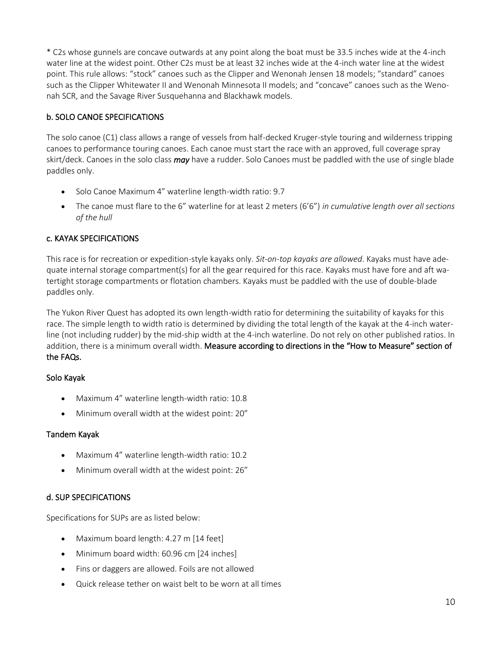\* C2s whose gunnels are concave outwards at any point along the boat must be 33.5 inches wide at the 4-inch water line at the widest point. Other C2s must be at least 32 inches wide at the 4-inch water line at the widest point. This rule allows: "stock" canoes such as the Clipper and Wenonah Jensen 18 models; "standard" canoes such as the Clipper Whitewater II and Wenonah Minnesota II models; and "concave" canoes such as the Wenonah SCR, and the Savage River Susquehanna and Blackhawk models.

## b. SOLO CANOE SPECIFICATIONS

The solo canoe (C1) class allows a range of vessels from half-decked Kruger-style touring and wilderness tripping canoes to performance touring canoes. Each canoe must start the race with an approved, full coverage spray skirt/deck. Canoes in the solo class *may* have a rudder. Solo Canoes must be paddled with the use of single blade paddles only.

- Solo Canoe Maximum 4" waterline length-width ratio: 9.7
- The canoe must flare to the 6" waterline for at least 2 meters (6'6") *in cumulative length over all sections of the hull*

## c. KAYAK SPECIFICATIONS

This race is for recreation or expedition-style kayaks only. *Sit-on-top kayaks are allowed*. Kayaks must have adequate internal storage compartment(s) for all the gear required for this race. Kayaks must have fore and aft watertight storage compartments or flotation chambers. Kayaks must be paddled with the use of double-blade paddles only.

The Yukon River Quest has adopted its own length-width ratio for determining the suitability of kayaks for this race. The simple length to width ratio is determined by dividing the total length of the kayak at the 4-inch waterline (not including rudder) by the mid-ship width at the 4-inch waterline. Do not rely on other published ratios. In addition, there is a minimum overall width. Measure according to directions in the "How to Measure" section of the FAQs.

## Solo Kayak

- Maximum 4" waterline length-width ratio: 10.8
- Minimum overall width at the widest point: 20"

## Tandem Kayak

- Maximum 4" waterline length-width ratio: 10.2
- Minimum overall width at the widest point: 26"

## d. SUP SPECIFICATIONS

Specifications for SUPs are as listed below:

- Maximum board length: 4.27 m [14 feet]
- Minimum board width: 60.96 cm [24 inches]
- Fins or daggers are allowed. Foils are not allowed
- Quick release tether on waist belt to be worn at all times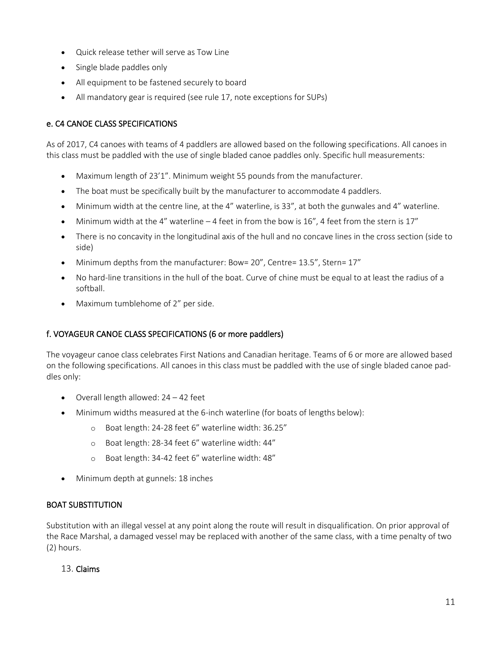- Quick release tether will serve as Tow Line
- Single blade paddles only
- All equipment to be fastened securely to board
- All mandatory gear is required (see rule 17, note exceptions for SUPs)

## e. C4 CANOE CLASS SPECIFICATIONS

As of 2017, C4 canoes with teams of 4 paddlers are allowed based on the following specifications. All canoes in this class must be paddled with the use of single bladed canoe paddles only. Specific hull measurements:

- Maximum length of 23'1". Minimum weight 55 pounds from the manufacturer.
- The boat must be specifically built by the manufacturer to accommodate 4 paddlers.
- Minimum width at the centre line, at the 4" waterline, is 33", at both the gunwales and 4" waterline.
- Minimum width at the 4" waterline  $-4$  feet in from the bow is 16", 4 feet from the stern is 17"
- There is no concavity in the longitudinal axis of the hull and no concave lines in the cross section (side to side)
- Minimum depths from the manufacturer: Bow= 20", Centre= 13.5", Stern= 17"
- No hard-line transitions in the hull of the boat. Curve of chine must be equal to at least the radius of a softball.
- Maximum tumblehome of 2" per side.

## f. VOYAGEUR CANOE CLASS SPECIFICATIONS (6 or more paddlers)

The voyageur canoe class celebrates First Nations and Canadian heritage. Teams of 6 or more are allowed based on the following specifications. All canoes in this class must be paddled with the use of single bladed canoe paddles only:

- Overall length allowed: 24 42 feet
- Minimum widths measured at the 6-inch waterline (for boats of lengths below):
	- o Boat length: 24-28 feet 6" waterline width: 36.25"
	- o Boat length: 28-34 feet 6" waterline width: 44"
	- o Boat length: 34-42 feet 6" waterline width: 48"
- Minimum depth at gunnels: 18 inches

## BOAT SUBSTITUTION

Substitution with an illegal vessel at any point along the route will result in disqualification. On prior approval of the Race Marshal, a damaged vessel may be replaced with another of the same class, with a time penalty of two (2) hours.

#### 13. Claims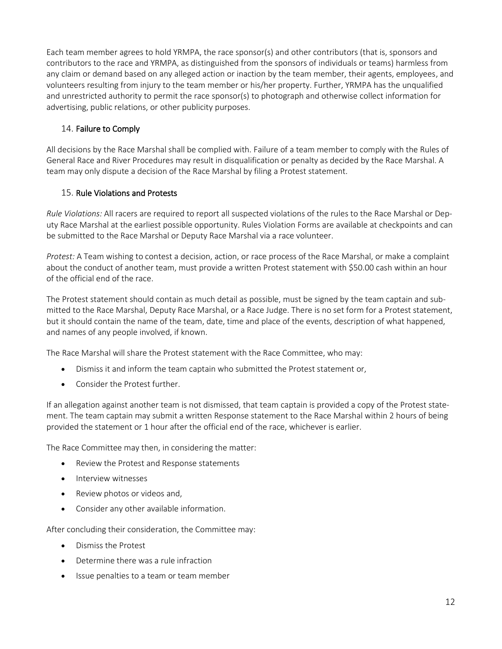Each team member agrees to hold YRMPA, the race sponsor(s) and other contributors (that is, sponsors and contributors to the race and YRMPA, as distinguished from the sponsors of individuals or teams) harmless from any claim or demand based on any alleged action or inaction by the team member, their agents, employees, and volunteers resulting from injury to the team member or his/her property. Further, YRMPA has the unqualified and unrestricted authority to permit the race sponsor(s) to photograph and otherwise collect information for advertising, public relations, or other publicity purposes.

## 14. Failure to Comply

All decisions by the Race Marshal shall be complied with. Failure of a team member to comply with the Rules of General Race and River Procedures may result in disqualification or penalty as decided by the Race Marshal. A team may only dispute a decision of the Race Marshal by filing a Protest statement.

## 15. Rule Violations and Protests

*Rule Violations:* All racers are required to report all suspected violations of the rules to the Race Marshal or Deputy Race Marshal at the earliest possible opportunity. Rules Violation Forms are available at checkpoints and can be submitted to the Race Marshal or Deputy Race Marshal via a race volunteer.

*Protest:* A Team wishing to contest a decision, action, or race process of the Race Marshal, or make a complaint about the conduct of another team, must provide a written Protest statement with \$50.00 cash within an hour of the official end of the race.

The Protest statement should contain as much detail as possible, must be signed by the team captain and submitted to the Race Marshal, Deputy Race Marshal, or a Race Judge. There is no set form for a Protest statement, but it should contain the name of the team, date, time and place of the events, description of what happened, and names of any people involved, if known.

The Race Marshal will share the Protest statement with the Race Committee, who may:

- Dismiss it and inform the team captain who submitted the Protest statement or,
- Consider the Protest further.

If an allegation against another team is not dismissed, that team captain is provided a copy of the Protest statement. The team captain may submit a written Response statement to the Race Marshal within 2 hours of being provided the statement or 1 hour after the official end of the race, whichever is earlier.

The Race Committee may then, in considering the matter:

- Review the Protest and Response statements
- Interview witnesses
- Review photos or videos and.
- Consider any other available information.

After concluding their consideration, the Committee may:

- Dismiss the Protest
- Determine there was a rule infraction
- Issue penalties to a team or team member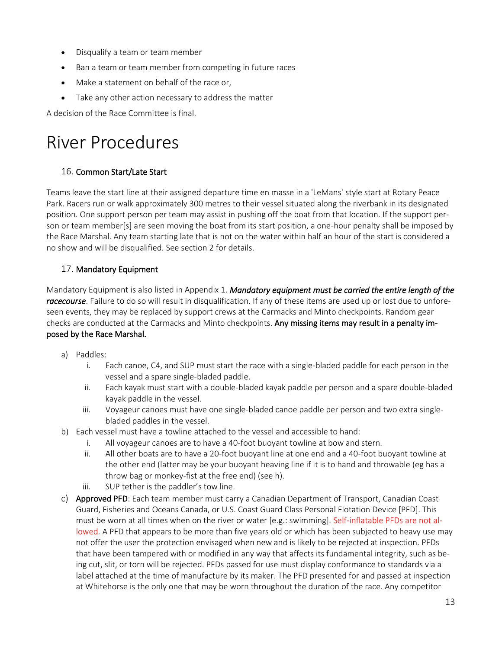- Disqualify a team or team member
- Ban a team or team member from competing in future races
- Make a statement on behalf of the race or,
- Take any other action necessary to address the matter

A decision of the Race Committee is final.

## River Procedures

## 16. Common Start/Late Start

Teams leave the start line at their assigned departure time en masse in a 'LeMans' style start at Rotary Peace Park. Racers run or walk approximately 300 metres to their vessel situated along the riverbank in its designated position. One support person per team may assist in pushing off the boat from that location. If the support person or team member[s] are seen moving the boat from its start position, a one-hour penalty shall be imposed by the Race Marshal. Any team starting late that is not on the water within half an hour of the start is considered a no show and will be disqualified. See section 2 for details.

## 17. Mandatory Equipment

Mandatory Equipment is also listed in Appendix 1. *Mandatory equipment must be carried the entire length of the racecourse*. Failure to do so will result in disqualification. If any of these items are used up or lost due to unforeseen events, they may be replaced by support crews at the Carmacks and Minto checkpoints. Random gear checks are conducted at the Carmacks and Minto checkpoints. Any missing items may result in a penalty imposed by the Race Marshal.

- a) Paddles:
	- i. Each canoe, C4, and SUP must start the race with a single-bladed paddle for each person in the vessel and a spare single-bladed paddle.
	- ii. Each kayak must start with a double-bladed kayak paddle per person and a spare double-bladed kayak paddle in the vessel.
	- iii. Voyageur canoes must have one single-bladed canoe paddle per person and two extra singlebladed paddles in the vessel.
- b) Each vessel must have a towline attached to the vessel and accessible to hand:
	- i. All voyageur canoes are to have a 40-foot buoyant towline at bow and stern.
	- ii. All other boats are to have a 20-foot buoyant line at one end and a 40-foot buoyant towline at the other end (latter may be your buoyant heaving line if it is to hand and throwable (eg has a throw bag or monkey-fist at the free end) (see h).
	- iii. SUP tether is the paddler's tow line.
- c) Approved PFD: Each team member must carry a Canadian Department of Transport, Canadian Coast Guard, Fisheries and Oceans Canada, or U.S. Coast Guard Class Personal Flotation Device [PFD]. This must be worn at all times when on the river or water [e.g.: swimming]. Self-inflatable PFDs are not allowed. A PFD that appears to be more than five years old or which has been subjected to heavy use may not offer the user the protection envisaged when new and is likely to be rejected at inspection. PFDs that have been tampered with or modified in any way that affects its fundamental integrity, such as being cut, slit, or torn will be rejected. PFDs passed for use must display conformance to standards via a label attached at the time of manufacture by its maker. The PFD presented for and passed at inspection at Whitehorse is the only one that may be worn throughout the duration of the race. Any competitor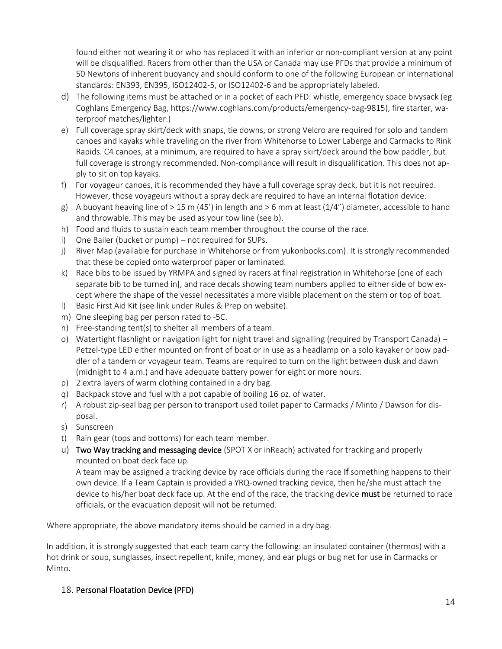found either not wearing it or who has replaced it with an inferior or non-compliant version at any point will be disqualified. Racers from other than the USA or Canada may use PFDs that provide a minimum of 50 Newtons of inherent buoyancy and should conform to one of the following European or international standards: EN393, EN395, ISO12402-5, or ISO12402-6 and be appropriately labeled.

- d) The following items must be attached or in a pocket of each PFD: whistle, emergency space bivysack (eg Coghlans Emergency Bag, [https://www.coghlans.com/products/emergency-bag-9815\)](https://www.coghlans.com/products/emergency-bag-9815), fire starter, waterproof matches/lighter.)
- e) Full coverage spray skirt/deck with snaps, tie downs, or strong Velcro are required for solo and tandem canoes and kayaks while traveling on the river from Whitehorse to Lower Laberge and Carmacks to Rink Rapids. C4 canoes, at a minimum, are required to have a spray skirt/deck around the bow paddler, but full coverage is strongly recommended. Non-compliance will result in disqualification. This does not apply to sit on top kayaks.
- f) For voyageur canoes, it is recommended they have a full coverage spray deck, but it is not required. However, those voyageurs without a spray deck are required to have an internal flotation device.
- g) A buoyant heaving line of  $> 15$  m (45') in length and  $> 6$  mm at least (1/4") diameter, accessible to hand and throwable. This may be used as your tow line (see b).
- h) Food and fluids to sustain each team member throughout the course of the race.
- i) One Bailer (bucket or pump) not required for SUPs.
- j) River Map (available for purchase in Whitehorse or from yukonbooks.com). It is strongly recommended that these be copied onto waterproof paper or laminated.
- k) Race bibs to be issued by YRMPA and signed by racers at final registration in Whitehorse [one of each separate bib to be turned in], and race decals showing team numbers applied to either side of bow except where the shape of the vessel necessitates a more visible placement on the stern or top of boat.
- l) Basic First Aid Kit (see link under Rules & Prep on website).
- m) One sleeping bag per person rated to -5C.
- n) Free-standing tent(s) to shelter all members of a team.
- o) Watertight flashlight or navigation light for night travel and signalling (required by Transport Canada) Petzel-type LED either mounted on front of boat or in use as a headlamp on a solo kayaker or bow paddler of a tandem or voyageur team. Teams are required to turn on the light between dusk and dawn (midnight to 4 a.m.) and have adequate battery power for eight or more hours.
- p) 2 extra layers of warm clothing contained in a dry bag.
- q) Backpack stove and fuel with a pot capable of boiling 16 oz. of water.
- r) A robust zip-seal bag per person to transport used toilet paper to Carmacks / Minto / Dawson for disposal.
- s) Sunscreen
- t) Rain gear (tops and bottoms) for each team member.
- u) Two Way tracking and messaging device (SPOT X or inReach) activated for tracking and properly mounted on boat deck face up.

A team may be assigned a tracking device by race officials during the race if something happens to their own device. If a Team Captain is provided a YRQ-owned tracking device, then he/she must attach the device to his/her boat deck face up. At the end of the race, the tracking device must be returned to race officials, or the evacuation deposit will not be returned.

Where appropriate, the above mandatory items should be carried in a dry bag.

In addition, it is strongly suggested that each team carry the following: an insulated container (thermos) with a hot drink or soup, sunglasses, insect repellent, knife, money, and ear plugs or bug net for use in Carmacks or Minto.

## 18. Personal Floatation Device (PFD)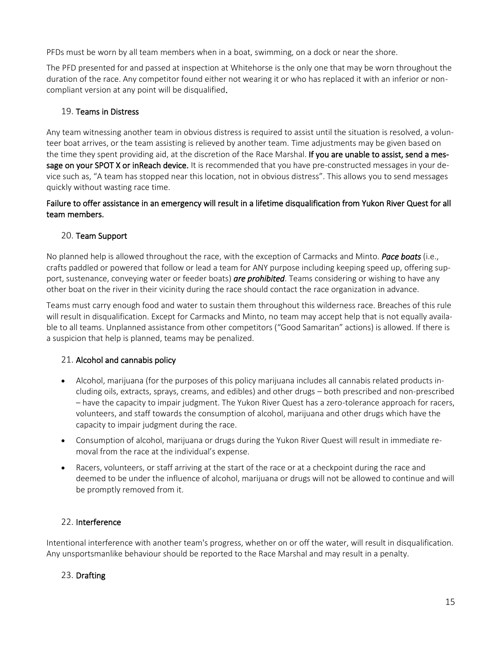PFDs must be worn by all team members when in a boat, swimming, on a dock or near the shore.

The PFD presented for and passed at inspection at Whitehorse is the only one that may be worn throughout the duration of the race. Any competitor found either not wearing it or who has replaced it with an inferior or noncompliant version at any point will be disqualified.

## 19. Teams in Distress

Any team witnessing another team in obvious distress is required to assist until the situation is resolved, a volunteer boat arrives, or the team assisting is relieved by another team*.* Time adjustments may be given based on the time they spent providing aid, at the discretion of the Race Marshal. If you are unable to assist, send a message on your SPOT X or inReach device.It is recommended that you have pre-constructed messages in your device such as, "A team has stopped near this location, not in obvious distress". This allows you to send messages quickly without wasting race time.

## Failure to offer assistance in an emergency will result in a lifetime disqualification from Yukon River Quest for all team members.

## 20. Team Support

No planned help is allowed throughout the race, with the exception of Carmacks and Minto. *Pace boats* (i.e., crafts paddled or powered that follow or lead a team for ANY purpose including keeping speed up, offering support, sustenance, conveying water or feeder boats) *are prohibited*. Teams considering or wishing to have any other boat on the river in their vicinity during the race should contact the race organization in advance.

Teams must carry enough food and water to sustain them throughout this wilderness race. Breaches of this rule will result in disqualification. Except for Carmacks and Minto, no team may accept help that is not equally available to all teams. Unplanned assistance from other competitors ("Good Samaritan" actions) is allowed. If there is a suspicion that help is planned, teams may be penalized.

## 21. Alcohol and cannabis policy

- Alcohol, marijuana (for the purposes of this policy marijuana includes all cannabis related products including oils, extracts, sprays, creams, and edibles) and other drugs – both prescribed and non-prescribed – have the capacity to impair judgment. The Yukon River Quest has a zero-tolerance approach for racers, volunteers, and staff towards the consumption of alcohol, marijuana and other drugs which have the capacity to impair judgment during the race.
- Consumption of alcohol, marijuana or drugs during the Yukon River Quest will result in immediate removal from the race at the individual's expense.
- Racers, volunteers, or staff arriving at the start of the race or at a checkpoint during the race and deemed to be under the influence of alcohol, marijuana or drugs will not be allowed to continue and will be promptly removed from it.

## 22. Interference

Intentional interference with another team's progress, whether on or off the water, will result in disqualification. Any unsportsmanlike behaviour should be reported to the Race Marshal and may result in a penalty.

## 23. Drafting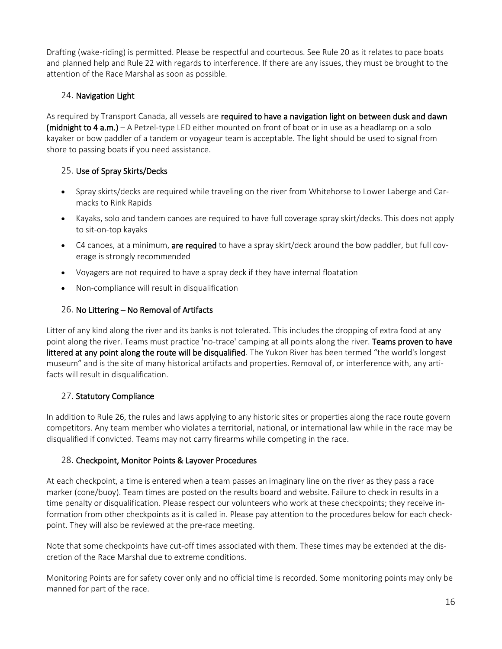Drafting (wake-riding) is permitted. Please be respectful and courteous. See Rule 20 as it relates to pace boats and planned help and Rule 22 with regards to interference. If there are any issues, they must be brought to the attention of the Race Marshal as soon as possible.

## 24. Navigation Light

As required by Transport Canada, all vessels are required to have a navigation light on between dusk and dawn (midnight to 4 a.m.) – A Petzel-type LED either mounted on front of boat or in use as a headlamp on a solo kayaker or bow paddler of a tandem or voyageur team is acceptable. The light should be used to signal from shore to passing boats if you need assistance.

## 25. Use of Spray Skirts/Decks

- Spray skirts/decks are required while traveling on the river from Whitehorse to Lower Laberge and Carmacks to Rink Rapids
- Kayaks, solo and tandem canoes are required to have full coverage spray skirt/decks. This does not apply to sit-on-top kayaks
- C4 canoes, at a minimum, are required to have a spray skirt/deck around the bow paddler, but full coverage is strongly recommended
- Voyagers are not required to have a spray deck if they have internal floatation
- Non-compliance will result in disqualification

## 26. No Littering – No Removal of Artifacts

Litter of any kind along the river and its banks is not tolerated. This includes the dropping of extra food at any point along the river. Teams must practice 'no-trace' camping at all points along the river. Teams proven to have littered at any point along the route will be disqualified. The Yukon River has been termed "the world's longest museum" and is the site of many historical artifacts and properties. Removal of, or interference with, any artifacts will result in disqualification.

## 27. Statutory Compliance

In addition to Rule 26, the rules and laws applying to any historic sites or properties along the race route govern competitors. Any team member who violates a territorial, national, or international law while in the race may be disqualified if convicted. Teams may not carry firearms while competing in the race.

## 28. Checkpoint, Monitor Points & Layover Procedures

At each checkpoint, a time is entered when a team passes an imaginary line on the river as they pass a race marker (cone/buoy). Team times are posted on the results board and website. Failure to check in results in a time penalty or disqualification. Please respect our volunteers who work at these checkpoints; they receive information from other checkpoints as it is called in. Please pay attention to the procedures below for each checkpoint. They will also be reviewed at the pre-race meeting.

Note that some checkpoints have cut-off times associated with them. These times may be extended at the discretion of the Race Marshal due to extreme conditions.

Monitoring Points are for safety cover only and no official time is recorded. Some monitoring points may only be manned for part of the race.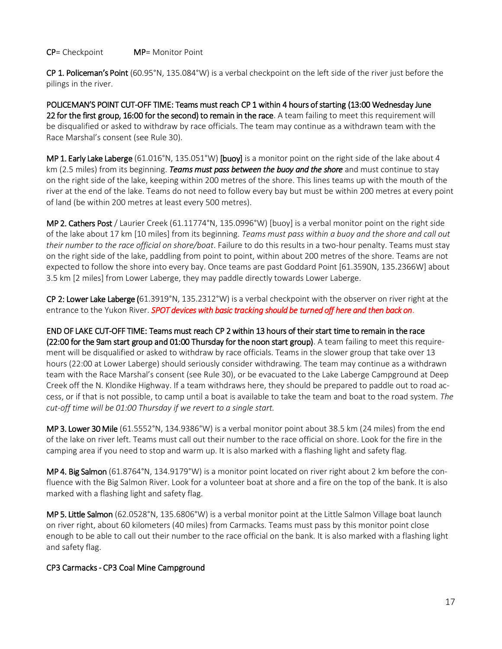#### CP= Checkpoint MP= Monitor Point

CP 1. Policeman's Point (60.95°N, 135.084°W) is a verbal checkpoint on the left side of the river just before the pilings in the river.

POLICEMAN'S POINT CUT-OFF TIME: Teams must reach CP 1 within 4 hours of starting (13:00 Wednesday June 22 for the first group, 16:00 for the second) to remain in the race. A team failing to meet this requirement will be disqualified or asked to withdraw by race officials. The team may continue as a withdrawn team with the Race Marshal's consent (see Rule 30).

MP 1. Early Lake Laberge (61.016°N, 135.051°W) [buoy] is a monitor point on the right side of the lake about 4 km (2.5 miles) from its beginning. *Teams must pass between the buoy and the shore* and must continue to stay on the right side of the lake, keeping within 200 metres of the shore. This lines teams up with the mouth of the river at the end of the lake. Teams do not need to follow every bay but must be within 200 metres at every point of land (be within 200 metres at least every 500 metres).

MP 2. Cathers Post / Laurier Creek (61.11774°N, 135.0996°W) [buoy] is a verbal monitor point on the right side of the lake about 17 km [10 miles] from its beginning. *Teams must pass within a buoy and the shore and call out their number to the race official on shore/boat*. Failure to do this results in a two-hour penalty. Teams must stay on the right side of the lake, paddling from point to point, within about 200 metres of the shore. Teams are not expected to follow the shore into every bay. Once teams are past Goddard Point [61.3590N, 135.2366W] about 3.5 km [2 miles] from Lower Laberge, they may paddle directly towards Lower Laberge.

CP 2: Lower Lake Laberge (61.3919°N, 135.2312°W) is a verbal checkpoint with the observer on river right at the entrance to the Yukon River. *SPOT devices with basic tracking should be turned off here and then back on*.

END OF LAKE CUT-OFF TIME: Teams must reach CP 2 within 13 hours of their start time to remain in the race (22:00 for the 9am start group and 01:00 Thursday for the noon start group). A team failing to meet this requirement will be disqualified or asked to withdraw by race officials. Teams in the slower group that take over 13 hours (22:00 at Lower Laberge) should seriously consider withdrawing. The team may continue as a withdrawn team with the Race Marshal's consent (see Rule 30), or be evacuated to the Lake Laberge Campground at Deep Creek off the N. Klondike Highway. If a team withdraws here, they should be prepared to paddle out to road access, or if that is not possible, to camp until a boat is available to take the team and boat to the road system. *The* 

MP 3. Lower 30 Mile (61.5552°N, 134.9386°W) is a verbal monitor point about 38.5 km (24 miles) from the end of the lake on river left. Teams must call out their number to the race official on shore. Look for the fire in the camping area if you need to stop and warm up. It is also marked with a flashing light and safety flag.

MP 4. Big Salmon (61.8764°N, 134.9179°W) is a monitor point located on river right about 2 km before the confluence with the Big Salmon River. Look for a volunteer boat at shore and a fire on the top of the bank. It is also marked with a flashing light and safety flag.

MP 5. Little Salmon (62.0528°N, 135.6806°W) is a verbal monitor point at the Little Salmon Village boat launch on river right, about 60 kilometers (40 miles) from Carmacks. Teams must pass by this monitor point close enough to be able to call out their number to the race official on the bank. It is also marked with a flashing light and safety flag.

## CP3 Carmacks - CP3 Coal Mine Campground

*cut-off time will be 01:00 Thursday if we revert to a single start.*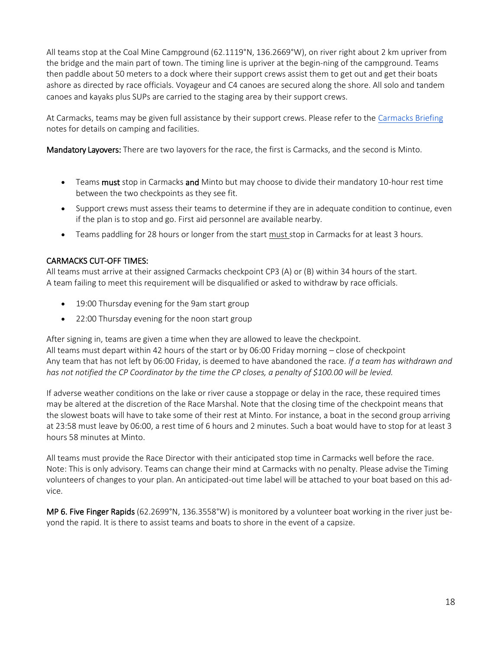All teams stop at the Coal Mine Campground (62.1119°N, 136.2669°W), on river right about 2 km upriver from the bridge and the main part of town. The timing line is upriver at the begin-ning of the campground. Teams then paddle about 50 meters to a dock where their support crews assist them to get out and get their boats ashore as directed by race officials. Voyageur and C4 canoes are secured along the shore. All solo and tandem canoes and kayaks plus SUPs are carried to the staging area by their support crews.

At Carmacks, teams may be given full assistance by their support crews. Please refer to the Carmacks Briefing notes for details on camping and facilities.

Mandatory Layovers: There are two layovers for the race, the first is Carmacks, and the second is Minto.

- Teams must stop in Carmacks and Minto but may choose to divide their mandatory 10-hour rest time between the two checkpoints as they see fit.
- Support crews must assess their teams to determine if they are in adequate condition to continue, even if the plan is to stop and go. First aid personnel are available nearby.
- Teams paddling for 28 hours or longer from the start must stop in Carmacks for at least 3 hours.

## CARMACKS CUT-OFF TIMES:

All teams must arrive at their assigned Carmacks checkpoint CP3 (A) or (B) within 34 hours of the start. A team failing to meet this requirement will be disqualified or asked to withdraw by race officials.

- 19:00 Thursday evening for the 9am start group
- 22:00 Thursday evening for the noon start group

After signing in, teams are given a time when they are allowed to leave the checkpoint. All teams must depart within 42 hours of the start or by 06:00 Friday morning – close of checkpoint Any team that has not left by 06:00 Friday, is deemed to have abandoned the race*. If a team has withdrawn and has not notified the CP Coordinator by the time the CP closes, a penalty of \$100.00 will be levied.*

If adverse weather conditions on the lake or river cause a stoppage or delay in the race, these required times may be altered at the discretion of the Race Marshal. Note that the closing time of the checkpoint means that the slowest boats will have to take some of their rest at Minto. For instance, a boat in the second group arriving at 23:58 must leave by 06:00, a rest time of 6 hours and 2 minutes. Such a boat would have to stop for at least 3 hours 58 minutes at Minto.

All teams must provide the Race Director with their anticipated stop time in Carmacks well before the race. Note: This is only advisory. Teams can change their mind at Carmacks with no penalty. Please advise the Timing volunteers of changes to your plan. An anticipated-out time label will be attached to your boat based on this advice.

MP 6. Five Finger Rapids (62.2699°N, 136.3558°W) is monitored by a volunteer boat working in the river just beyond the rapid. It is there to assist teams and boats to shore in the event of a capsize.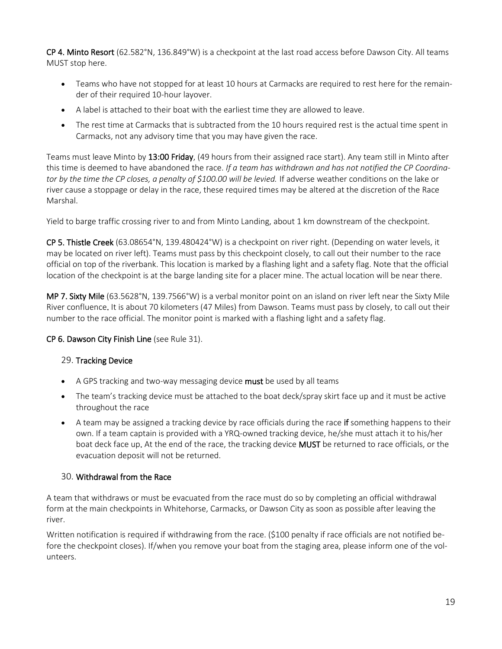CP 4. Minto Resort (62.582°N, 136.849°W) is a checkpoint at the last road access before Dawson City. All teams MUST stop here.

- Teams who have not stopped for at least 10 hours at Carmacks are required to rest here for the remainder of their required 10-hour layover.
- A label is attached to their boat with the earliest time they are allowed to leave.
- The rest time at Carmacks that is subtracted from the 10 hours required rest is the actual time spent in Carmacks, not any advisory time that you may have given the race.

Teams must leave Minto by 13:00 Friday, (49 hours from their assigned race start). Any team still in Minto after this time is deemed to have abandoned the race. *If a team has withdrawn and has not notified the CP Coordinator by the time the CP closes, a penalty of \$100.00 will be levied.* If adverse weather conditions on the lake or river cause a stoppage or delay in the race, these required times may be altered at the discretion of the Race Marshal.

Yield to barge traffic crossing river to and from Minto Landing, about 1 km downstream of the checkpoint.

CP 5. Thistle Creek (63.08654°N, 139.480424°W) is a checkpoint on river right. (Depending on water levels, it may be located on river left). Teams must pass by this checkpoint closely, to call out their number to the race official on top of the riverbank. This location is marked by a flashing light and a safety flag. Note that the official location of the checkpoint is at the barge landing site for a placer mine. The actual location will be near there.

MP 7. Sixty Mile (63.5628°N, 139.7566°W) is a verbal monitor point on an island on river left near the Sixty Mile River confluence. It is about 70 kilometers (47 Miles) from Dawson. Teams must pass by closely, to call out their number to the race official. The monitor point is marked with a flashing light and a safety flag.

## CP 6. Dawson City Finish Line (see Rule 31).

## 29. Tracking Device

- A GPS tracking and two-way messaging device **must** be used by all teams
- The team's tracking device must be attached to the boat deck/spray skirt face up and it must be active throughout the race
- A team may be assigned a tracking device by race officials during the race if something happens to their own. If a team captain is provided with a YRQ-owned tracking device, he/she must attach it to his/her boat deck face up. At the end of the race, the tracking device MUST be returned to race officials, or the evacuation deposit will not be returned.

## 30. Withdrawal from the Race

A team that withdraws or must be evacuated from the race must do so by completing an official withdrawal form at the main checkpoints in Whitehorse, Carmacks, or Dawson City as soon as possible after leaving the river.

Written notification is required if withdrawing from the race. (\$100 penalty if race officials are not notified before the checkpoint closes). If/when you remove your boat from the staging area, please inform one of the volunteers.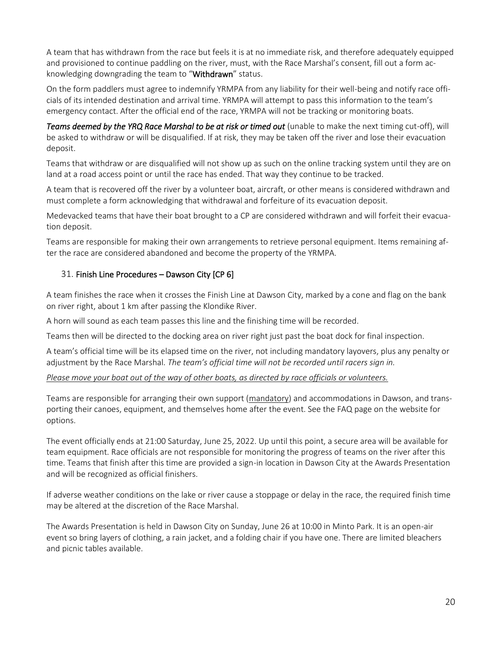A team that has withdrawn from the race but feels it is at no immediate risk, and therefore adequately equipped and provisioned to continue paddling on the river, must, with the Race Marshal's consent, fill out a form acknowledging downgrading the team to "Withdrawn" status.

On the form paddlers must agree to indemnify YRMPA from any liability for their well-being and notify race officials of its intended destination and arrival time. YRMPA will attempt to pass this information to the team's emergency contact. After the official end of the race, YRMPA will not be tracking or monitoring boats.

Teams deemed by the YRQ Race Marshal to be at risk or timed out (unable to make the next timing cut-off), will be asked to withdraw or will be disqualified. If at risk, they may be taken off the river and lose their evacuation deposit.

Teams that withdraw or are disqualified will not show up as such on the online tracking system until they are on land at a road access point or until the race has ended. That way they continue to be tracked.

A team that is recovered off the river by a volunteer boat, aircraft, or other means is considered withdrawn and must complete a form acknowledging that withdrawal and forfeiture of its evacuation deposit.

Medevacked teams that have their boat brought to a CP are considered withdrawn and will forfeit their evacuation deposit.

Teams are responsible for making their own arrangements to retrieve personal equipment. Items remaining after the race are considered abandoned and become the property of the YRMPA.

## 31. Finish Line Procedures – Dawson City [CP 6]

A team finishes the race when it crosses the Finish Line at Dawson City, marked by a cone and flag on the bank on river right, about 1 km after passing the Klondike River.

A horn will sound as each team passes this line and the finishing time will be recorded.

Teams then will be directed to the docking area on river right just past the boat dock for final inspection.

A team's official time will be its elapsed time on the river, not including mandatory layovers, plus any penalty or adjustment by the Race Marshal. *The team's official time will not be recorded until racers sign in.* 

#### *Please move your boat out of the way of other boats, as directed by race officials or volunteers.*

Teams are responsible for arranging their own support (mandatory) and accommodations in Dawson, and transporting their canoes, equipment, and themselves home after the event. See the FAQ page on the website for options.

The event officially ends at 21:00 Saturday, June 25, 2022. Up until this point, a secure area will be available for team equipment. Race officials are not responsible for monitoring the progress of teams on the river after this time. Teams that finish after this time are provided a sign-in location in Dawson City at the Awards Presentation and will be recognized as official finishers.

If adverse weather conditions on the lake or river cause a stoppage or delay in the race, the required finish time may be altered at the discretion of the Race Marshal.

The Awards Presentation is held in Dawson City on Sunday, June 26 at 10:00 in Minto Park. It is an open-air event so bring layers of clothing, a rain jacket, and a folding chair if you have one. There are limited bleachers and picnic tables available.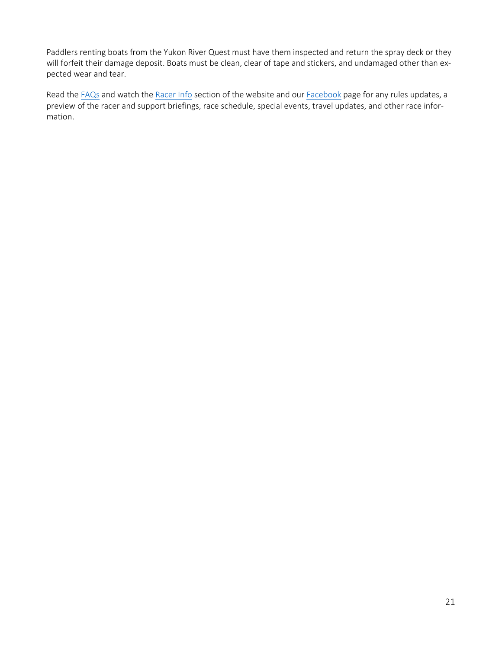Paddlers renting boats from the Yukon River Quest must have them inspected and return the spray deck or they will forfeit their damage deposit. Boats must be clean, clear of tape and stickers, and undamaged other than expected wear and tear.

Read th[e FAQs](https://www.yukonriverquest.com/information-for-racers-support-crews/faq/) and watch th[e Racer Info](https://yukonriverquest.ca/guide/) section of the website and our [Facebook](https://www.facebook.com/YRQ2022) page for any rules updates, a preview of the racer and support briefings, race schedule, special events, travel updates, and other race information.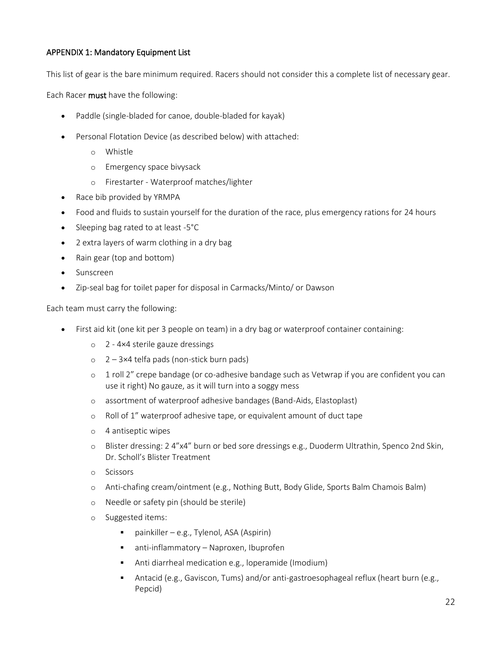## APPENDIX 1: Mandatory Equipment List

This list of gear is the bare minimum required. Racers should not consider this a complete list of necessary gear.

Each Racer must have the following:

- Paddle (single-bladed for canoe, double-bladed for kayak)
- Personal Flotation Device (as described below) with attached:
	- o Whistle
	- o Emergency space bivysack
	- o Firestarter Waterproof matches/lighter
- Race bib provided by YRMPA
- Food and fluids to sustain yourself for the duration of the race, plus emergency rations for 24 hours
- Sleeping bag rated to at least -5°C
- 2 extra layers of warm clothing in a dry bag
- Rain gear (top and bottom)
- Sunscreen
- Zip-seal bag for toilet paper for disposal in Carmacks/Minto/ or Dawson

Each team must carry the following:

- First aid kit (one kit per 3 people on team) in a dry bag or waterproof container containing:
	- o 2 4×4 sterile gauze dressings
	- $\circ$  2 3×4 telfa pads (non-stick burn pads)
	- o 1 roll 2" crepe bandage (or co-adhesive bandage such as Vetwrap if you are confident you can use it right) No gauze, as it will turn into a soggy mess
	- o assortment of waterproof adhesive bandages (Band-Aids, Elastoplast)
	- o Roll of 1" waterproof adhesive tape, or equivalent amount of duct tape
	- o 4 antiseptic wipes
	- o Blister dressing: 2 4"x4" burn or bed sore dressings e.g., Duoderm Ultrathin, Spenco 2nd Skin, Dr. Scholl's Blister Treatment
	- o Scissors
	- o Anti-chafing cream/ointment (e.g., Nothing Butt, Body Glide, Sports Balm Chamois Balm)
	- o Needle or safety pin (should be sterile)
	- o Suggested items:
		- $\blacksquare$  painkiller e.g., Tylenol, ASA (Aspirin)
		- anti-inflammatory Naproxen, Ibuprofen
		- Anti diarrheal medication e.g., loperamide (Imodium)
		- Antacid (e.g., Gaviscon, Tums) and/or anti-gastroesophageal reflux (heart burn (e.g., Pepcid)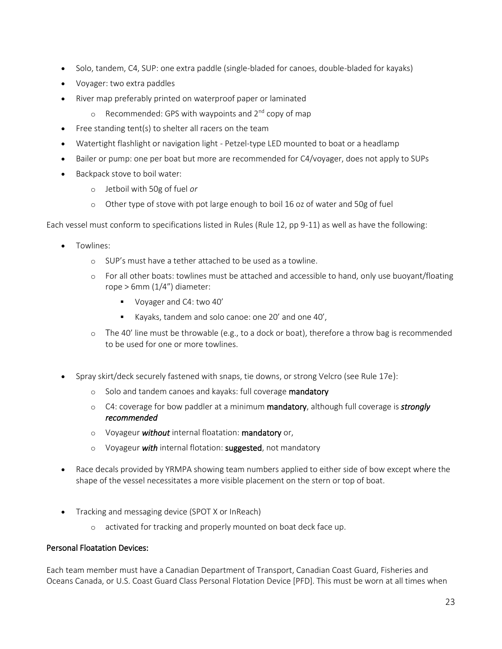- Solo, tandem, C4, SUP: one extra paddle (single-bladed for canoes, double-bladed for kayaks)
- Voyager: two extra paddles
- River map preferably printed on waterproof paper or laminated
	- $\circ$  Recommended: GPS with waypoints and  $2^{nd}$  copy of map
- Free standing tent(s) to shelter all racers on the team
- Watertight flashlight or navigation light Petzel-type LED mounted to boat or a headlamp
- Bailer or pump: one per boat but more are recommended for C4/voyager, does not apply to SUPs
- Backpack stove to boil water:
	- o Jetboil with 50g of fuel *or*
	- o Other type of stove with pot large enough to boil 16 oz of water and 50g of fuel

Each vessel must conform to specifications listed in Rules (Rule 12, pp 9-11) as well as have the following:

- Towlines:
	- o SUP's must have a tether attached to be used as a towline.
	- o For all other boats: towlines must be attached and accessible to hand, only use buoyant/floating rope  $> 6$ mm (1/4") diameter:
		- Voyager and C4: two 40'
		- Kayaks, tandem and solo canoe: one 20' and one 40',
	- $\circ$  The 40' line must be throwable (e.g., to a dock or boat), therefore a throw bag is recommended to be used for one or more towlines.
- Spray skirt/deck securely fastened with snaps, tie downs, or strong Velcro (see Rule 17e):
	- o Solo and tandem canoes and kayaks: full coverage mandatory
	- o C4: coverage for bow paddler at a minimum mandatory, although full coverage is *strongly recommended*
	- o Voyageur *without* internal floatation: mandatory or,
	- o Voyageur *with* internal flotation: suggested, not mandatory
- Race decals provided by YRMPA showing team numbers applied to either side of bow except where the shape of the vessel necessitates a more visible placement on the stern or top of boat.
- Tracking and messaging device (SPOT X or InReach)
	- o activated for tracking and properly mounted on boat deck face up.

## Personal Floatation Devices:

Each team member must have a Canadian Department of Transport, Canadian Coast Guard, Fisheries and Oceans Canada, or U.S. Coast Guard Class Personal Flotation Device [PFD]. This must be worn at all times when